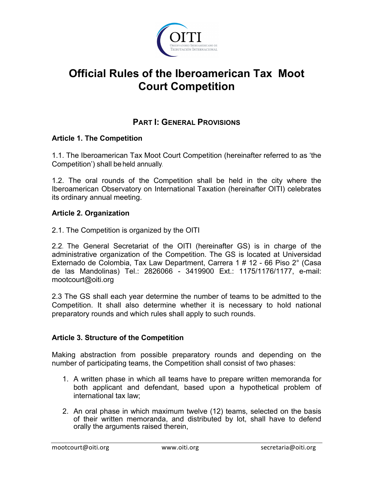

# **Official Rules of the Iberoamerican Tax Moot Court Competition**

# **PART I: GENERAL PROVISIONS**

### **Article 1. The Competition**

1.1. The Iberoamerican Tax Moot Court Competition (hereinafter referred to as 'the Competition') shall be held annually.

1.2. The oral rounds of the Competition shall be held in the city where the Iberoamerican Observatory on International Taxation (hereinafter OITI) celebrates its ordinary annual meeting.

### **Article 2. Organization**

2.1. The Competition is organized by the OITI

2.2. The General Secretariat of the OITI (hereinafter GS) is in charge of the administrative organization of the Competition. The GS is located at Universidad Externado de Colombia, Tax Law Department, Carrera 1 # 12 - 66 Piso 2° (Casa de las Mandolinas) Tel.: 2826066 - 3419900 Ext.: 1175/1176/1177, e-mail: mootcourt@oiti.org

2.3 The GS shall each year determine the number of teams to be admitted to the Competition. It shall also determine whether it is necessary to hold national preparatory rounds and which rules shall apply to such rounds.

### **Article 3. Structure of the Competition**

Making abstraction from possible preparatory rounds and depending on the number of participating teams, the Competition shall consist of two phases:

- 1. A written phase in which all teams have to prepare written memoranda for both applicant and defendant, based upon a hypothetical problem of international tax law;
- 2. An oral phase in which maximum twelve (12) teams, selected on the basis of their written memoranda, and distributed by lot, shall have to defend orally the arguments raised therein,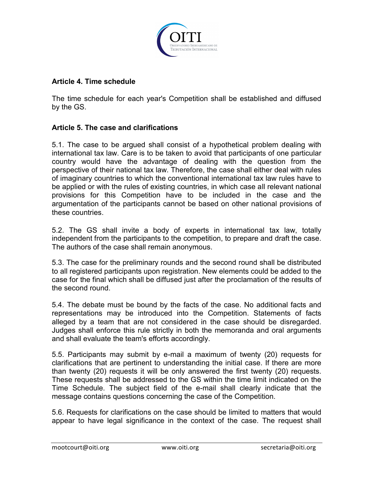

#### **Article 4. Time schedule**

The time schedule for each year's Competition shall be established and diffused by the GS.

### **Article 5. The case and clarifications**

5.1. The case to be argued shall consist of a hypothetical problem dealing with international tax law. Care is to be taken to avoid that participants of one particular country would have the advantage of dealing with the question from the perspective of their national tax law. Therefore, the case shall either deal with rules of imaginary countries to which the conventional international tax law rules have to be applied or with the rules of existing countries, in which case all relevant national provisions for this Competition have to be included in the case and the argumentation of the participants cannot be based on other national provisions of these countries.

5.2. The GS shall invite a body of experts in international tax law, totally independent from the participants to the competition, to prepare and draft the case. The authors of the case shall remain anonymous.

5.3. The case for the preliminary rounds and the second round shall be distributed to all registered participants upon registration. New elements could be added to the case for the final which shall be diffused just after the proclamation of the results of the second round.

5.4. The debate must be bound by the facts of the case. No additional facts and representations may be introduced into the Competition. Statements of facts alleged by a team that are not considered in the case should be disregarded. Judges shall enforce this rule strictly in both the memoranda and oral arguments and shall evaluate the team's efforts accordingly.

5.5. Participants may submit by e-mail a maximum of twenty (20) requests for clarifications that are pertinent to understanding the initial case. If there are more than twenty (20) requests it will be only answered the first twenty (20) requests. These requests shall be addressed to the GS within the time limit indicated on the Time Schedule. The subject field of the e-mail shall clearly indicate that the message contains questions concerning the case of the Competition.

5.6. Requests for clarifications on the case should be limited to matters that would appear to have legal significance in the context of the case. The request shall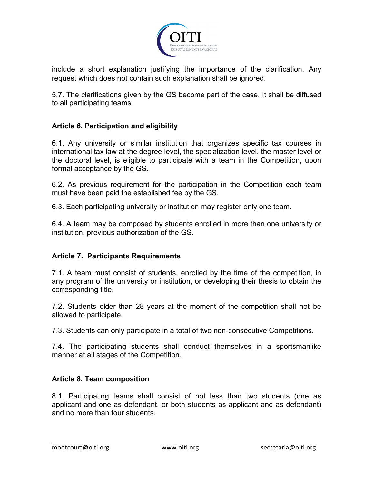

include a short explanation justifying the importance of the clarification. Any request which does not contain such explanation shall be ignored.

5.7. The clarifications given by the GS become part of the case. It shall be diffused to all participating teams.

### **Article 6. Participation and eligibility**

6.1. Any university or similar institution that organizes specific tax courses in international tax law at the degree level, the specialization level, the master level or the doctoral level, is eligible to participate with a team in the Competition, upon formal acceptance by the GS.

6.2. As previous requirement for the participation in the Competition each team must have been paid the established fee by the GS.

6.3. Each participating university or institution may register only one team.

6.4. A team may be composed by students enrolled in more than one university or institution, previous authorization of the GS.

### **Article 7. Participants Requirements**

7.1. A team must consist of students, enrolled by the time of the competition, in any program of the university or institution, or developing their thesis to obtain the corresponding title.

7.2. Students older than 28 years at the moment of the competition shall not be allowed to participate.

7.3. Students can only participate in a total of two non-consecutive Competitions.

7.4. The participating students shall conduct themselves in a sportsmanlike manner at all stages of the Competition.

### **Article 8. Team composition**

8.1. Participating teams shall consist of not less than two students (one as applicant and one as defendant, or both students as applicant and as defendant) and no more than four students.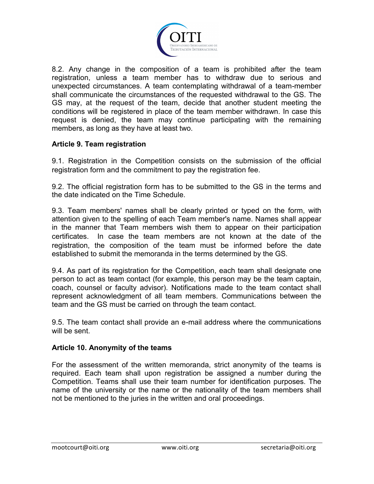

8.2. Any change in the composition of a team is prohibited after the team registration, unless a team member has to withdraw due to serious and unexpected circumstances. A team contemplating withdrawal of a team-member shall communicate the circumstances of the requested withdrawal to the GS. The GS may, at the request of the team, decide that another student meeting the conditions will be registered in place of the team member withdrawn. In case this request is denied, the team may continue participating with the remaining members, as long as they have at least two.

### **Article 9. Team registration**

9.1. Registration in the Competition consists on the submission of the official registration form and the commitment to pay the registration fee.

9.2. The official registration form has to be submitted to the GS in the terms and the date indicated on the Time Schedule.

9.3. Team members' names shall be clearly printed or typed on the form, with attention given to the spelling of each Team member's name. Names shall appear in the manner that Team members wish them to appear on their participation certificates. In case the team members are not known at the date of the registration, the composition of the team must be informed before the date established to submit the memoranda in the terms determined by the GS.

9.4. As part of its registration for the Competition, each team shall designate one person to act as team contact (for example, this person may be the team captain, coach, counsel or faculty advisor). Notifications made to the team contact shall represent acknowledgment of all team members. Communications between the team and the GS must be carried on through the team contact.

9.5. The team contact shall provide an e-mail address where the communications will be sent.

#### **Article 10. Anonymity of the teams**

For the assessment of the written memoranda, strict anonymity of the teams is required. Each team shall upon registration be assigned a number during the Competition. Teams shall use their team number for identification purposes. The name of the university or the name or the nationality of the team members shall not be mentioned to the juries in the written and oral proceedings.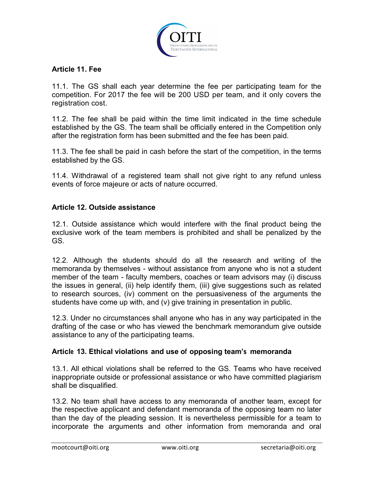

### **Article 11. Fee**

11.1. The GS shall each year determine the fee per participating team for the competition. For 2017 the fee will be 200 USD per team, and it only covers the registration cost.

11.2. The fee shall be paid within the time limit indicated in the time schedule established by the GS. The team shall be officially entered in the Competition only after the registration form has been submitted and the fee has been paid.

11.3. The fee shall be paid in cash before the start of the competition, in the terms established by the GS.

11.4. Withdrawal of a registered team shall not give right to any refund unless events of force majeure or acts of nature occurred.

### **Article 12. Outside assistance**

12.1. Outside assistance which would interfere with the final product being the exclusive work of the team members is prohibited and shall be penalized by the GS.

12.2. Although the students should do all the research and writing of the memoranda by themselves - without assistance from anyone who is not a student member of the team - faculty members, coaches or team advisors may (i) discuss the issues in general, (ii) help identify them, (iii) give suggestions such as related to research sources, (iv) comment on the persuasiveness of the arguments the students have come up with, and (v) give training in presentation in public.

12.3. Under no circumstances shall anyone who has in any way participated in the drafting of the case or who has viewed the benchmark memorandum give outside assistance to any of the participating teams.

### **Article 13. Ethical violations and use of opposing team's memoranda**

13.1. All ethical violations shall be referred to the GS. Teams who have received inappropriate outside or professional assistance or who have committed plagiarism shall be disqualified.

13.2. No team shall have access to any memoranda of another team, except for the respective applicant and defendant memoranda of the opposing team no later than the day of the pleading session. It is nevertheless permissible for a team to incorporate the arguments and other information from memoranda and oral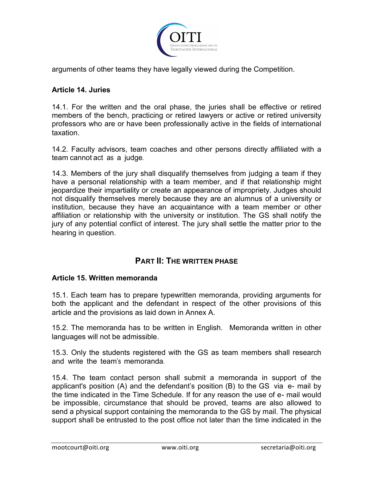

arguments of other teams they have legally viewed during the Competition.

### **Article 14. Juries**

14.1. For the written and the oral phase, the juries shall be effective or retired members of the bench, practicing or retired lawyers or active or retired university professors who are or have been professionally active in the fields of international taxation.

14.2. Faculty advisors, team coaches and other persons directly affiliated with a team cannot act as a judge.

14.3. Members of the jury shall disqualify themselves from judging a team if they have a personal relationship with a team member, and if that relationship might jeopardize their impartiality or create an appearance of impropriety. Judges should not disqualify themselves merely because they are an alumnus of a university or institution, because they have an acquaintance with a team member or other affiliation or relationship with the university or institution. The GS shall notify the jury of any potential conflict of interest. The jury shall settle the matter prior to the hearing in question.

### **PART II: THE WRITTEN PHASE**

#### **Article 15. Written memoranda**

15.1. Each team has to prepare typewritten memoranda, providing arguments for both the applicant and the defendant in respect of the other provisions of this article and the provisions as laid down in Annex A.

15.2. The memoranda has to be written in English. Memoranda written in other languages will not be admissible.

15.3. Only the students registered with the GS as team members shall research and write the team's memoranda.

15.4. The team contact person shall submit a memoranda in support of the applicant's position (A) and the defendant's position (B) to the GS via e- mail by the time indicated in the Time Schedule. If for any reason the use of e- mail would be impossible, circumstance that should be proved, teams are also allowed to send a physical support containing the memoranda to the GS by mail. The physical support shall be entrusted to the post office not later than the time indicated in the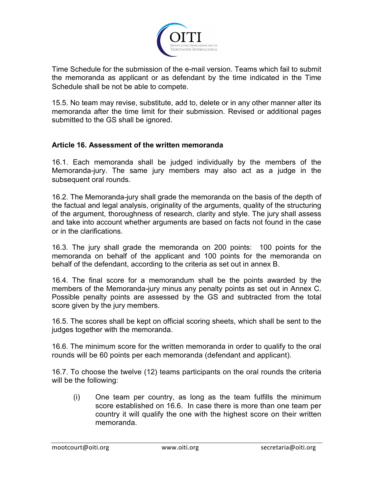

Time Schedule for the submission of the e-mail version. Teams which fail to submit the memoranda as applicant or as defendant by the time indicated in the Time Schedule shall be not be able to compete.

15.5. No team may revise, substitute, add to, delete or in any other manner alter its memoranda after the time limit for their submission. Revised or additional pages submitted to the GS shall be ignored.

### **Article 16. Assessment of the written memoranda**

16.1. Each memoranda shall be judged individually by the members of the Memoranda-jury. The same jury members may also act as a judge in the subsequent oral rounds.

16.2. The Memoranda-jury shall grade the memoranda on the basis of the depth of the factual and legal analysis, originality of the arguments, quality of the structuring of the argument, thoroughness of research, clarity and style. The jury shall assess and take into account whether arguments are based on facts not found in the case or in the clarifications.

16.3. The jury shall grade the memoranda on 200 points: 100 points for the memoranda on behalf of the applicant and 100 points for the memoranda on behalf of the defendant, according to the criteria as set out in annex B.

16.4. The final score for a memorandum shall be the points awarded by the members of the Memoranda-jury minus any penalty points as set out in Annex C. Possible penalty points are assessed by the GS and subtracted from the total score given by the jury members.

16.5. The scores shall be kept on official scoring sheets, which shall be sent to the judges together with the memoranda.

16.6. The minimum score for the written memoranda in order to qualify to the oral rounds will be 60 points per each memoranda (defendant and applicant).

16.7. To choose the twelve (12) teams participants on the oral rounds the criteria will be the following:

(i) One team per country, as long as the team fulfills the minimum score established on 16.6. In case there is more than one team per country it will qualify the one with the highest score on their written memoranda.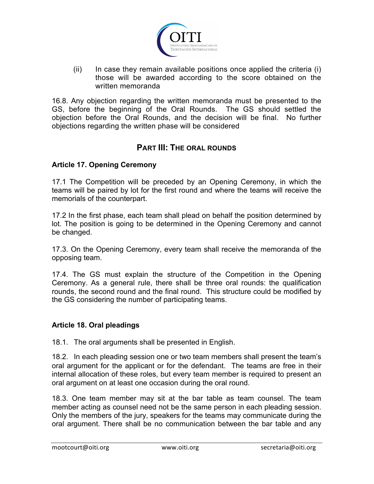

(ii) In case they remain available positions once applied the criteria (i) those will be awarded according to the score obtained on the written memoranda

16.8. Any objection regarding the written memoranda must be presented to the GS, before the beginning of the Oral Rounds. The GS should settled the objection before the Oral Rounds, and the decision will be final. No further objections regarding the written phase will be considered

# **PART III: THE ORAL ROUNDS**

### **Article 17. Opening Ceremony**

17.1 The Competition will be preceded by an Opening Ceremony, in which the teams will be paired by lot for the first round and where the teams will receive the memorials of the counterpart.

17.2 In the first phase, each team shall plead on behalf the position determined by lot. The position is going to be determined in the Opening Ceremony and cannot be changed.

17.3. On the Opening Ceremony, every team shall receive the memoranda of the opposing team.

17.4. The GS must explain the structure of the Competition in the Opening Ceremony. As a general rule, there shall be three oral rounds: the qualification rounds, the second round and the final round. This structure could be modified by the GS considering the number of participating teams.

### **Article 18. Oral pleadings**

18.1. The oral arguments shall be presented in English.

18.2. In each pleading session one or two team members shall present the team's oral argument for the applicant or for the defendant. The teams are free in their internal allocation of these roles, but every team member is required to present an oral argument on at least one occasion during the oral round.

18.3. One team member may sit at the bar table as team counsel. The team member acting as counsel need not be the same person in each pleading session. Only the members of the jury, speakers for the teams may communicate during the oral argument. There shall be no communication between the bar table and any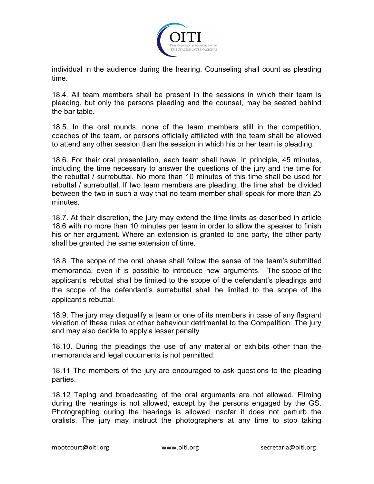

individual in the audience during the hearing. Counseling shall count as pleading time.

18.4. All team members shall be present in the sessions in which their team is pleading, but only the persons pleading and the counsel, may be seated behind the bar table.

18.5. In the oral rounds, none of the team members still in the competition, coaches of the team, or persons officially affiliated with the team shall be allowed to attend any other session than the session in which his or her team is pleading.

18.6. For their oral presentation, each team shall have, in principle, 45 minutes, including the time necessary to answer the questions of the jury and the time for the rebuttal / surrebuttal. No more than 10 minutes of this time shall be used for rebuttal / surrebuttal. If two team members are pleading, the time shall be divided between the two in such a way that no team member shall speak for more than 25 minutes.

18.7. At their discretion, the jury may extend the time limits as described in article 18.6 with no more than 10 minutes per team in order to allow the speaker to finish his or her argument. Where an extension is granted to one party, the other party shall be granted the same extension of time.

18.8. The scope of the oral phase shall follow the sense of the team's submitted memoranda, even if is possible to introduce new arguments. The scope of the applicant's rebuttal shall be limited to the scope of the defendant's pleadings and the scope of the defendant's surrebuttal shall be limited to the scope of the applicant's rebuttal.

18.9. The jury may disqualify a team or one of its members in case of any flagrant violation of these rules or other behaviour detrimental to the Competition. The jury and may also decide to apply a lesser penalty.

18.10. During the pleadings the use of any material or exhibits other than the memoranda and legal documents is not permitted.

18.11 The members of the jury are encouraged to ask questions to the pleading parties.

18.12 Taping and broadcasting of the oral arguments are not allowed. Filming during the hearings is not allowed, except by the persons engaged by the GS. Photographing during the hearings is allowed insofar it does not perturb the oralists. The jury may instruct the photographers at any time to stop taking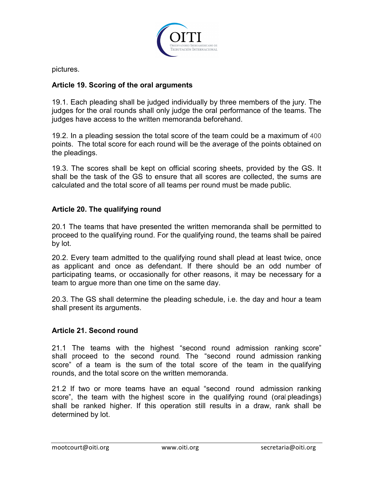

pictures.

### **Article 19. Scoring of the oral arguments**

19.1. Each pleading shall be judged individually by three members of the jury. The judges for the oral rounds shall only judge the oral performance of the teams. The judges have access to the written memoranda beforehand.

19.2. In a pleading session the total score of the team could be a maximum of 400 points. The total score for each round will be the average of the points obtained on the pleadings.

19.3. The scores shall be kept on official scoring sheets, provided by the GS. It shall be the task of the GS to ensure that all scores are collected, the sums are calculated and the total score of all teams per round must be made public.

### **Article 20. The qualifying round**

20.1 The teams that have presented the written memoranda shall be permitted to proceed to the qualifying round. For the qualifying round, the teams shall be paired by lot.

20.2. Every team admitted to the qualifying round shall plead at least twice, once as applicant and once as defendant. If there should be an odd number of participating teams, or occasionally for other reasons, it may be necessary for a team to argue more than one time on the same day.

20.3. The GS shall determine the pleading schedule, i.e. the day and hour a team shall present its arguments.

### **Article 21. Second round**

21.1 The teams with the highest "second round admission ranking score" shall proceed to the second round. The "second round admission ranking score" of a team is the sum of the total score of the team in the qualifying rounds, and the total score on the written memoranda.

21.2 If two or more teams have an equal "second round admission ranking score", the team with the highest score in the qualifying round (oral pleadings) shall be ranked higher. If this operation still results in a draw, rank shall be determined by lot.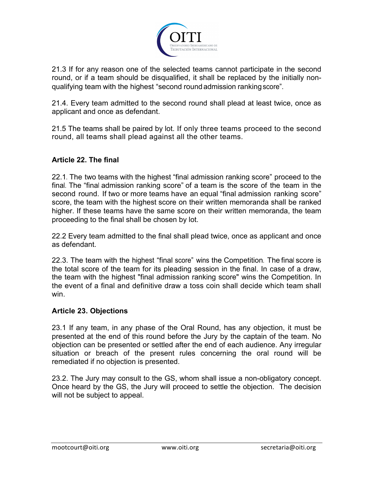

21.3 If for any reason one of the selected teams cannot participate in the second round, or if a team should be disqualified, it shall be replaced by the initially nonqualifying team with the highest "second roundadmission rankingscore".

21.4. Every team admitted to the second round shall plead at least twice, once as applicant and once as defendant.

21.5 The teams shall be paired by lot. If only three teams proceed to the second round, all teams shall plead against all the other teams.

### **Article 22. The final**

22.1. The two teams with the highest "final admission ranking score" proceed to the final. The "final admission ranking score" of a team is the score of the team in the second round. If two or more teams have an equal "final admission ranking score" score, the team with the highest score on their written memoranda shall be ranked higher. If these teams have the same score on their written memoranda, the team proceeding to the final shall be chosen by lot.

22.2 Every team admitted to the final shall plead twice, once as applicant and once as defendant.

22.3. The team with the highest "final score" wins the Competition. The final score is the total score of the team for its pleading session in the final. In case of a draw, the team with the highest "final admission ranking score" wins the Competition. In the event of a final and definitive draw a toss coin shall decide which team shall win.

### **Article 23. Objections**

23.1 If any team, in any phase of the Oral Round, has any objection, it must be presented at the end of this round before the Jury by the captain of the team. No objection can be presented or settled after the end of each audience. Any irregular situation or breach of the present rules concerning the oral round will be remediated if no objection is presented.

23.2. The Jury may consult to the GS, whom shall issue a non-obligatory concept. Once heard by the GS, the Jury will proceed to settle the objection. The decision will not be subject to appeal.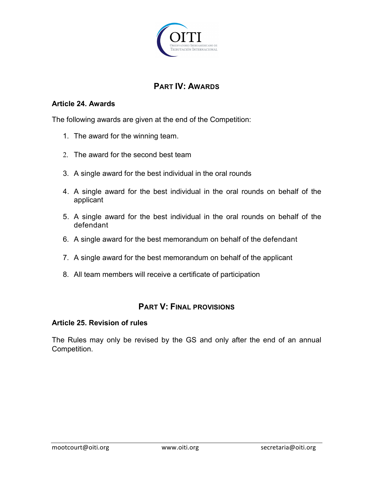

# **PART IV: AWARDS**

### **Article 24. Awards**

The following awards are given at the end of the Competition:

- 1. The award for the winning team.
- 2. The award for the second best team
- 3. A single award for the best individual in the oral rounds
- 4. A single award for the best individual in the oral rounds on behalf of the applicant
- 5. A single award for the best individual in the oral rounds on behalf of the defendant
- 6. A single award for the best memorandum on behalf of the defendant
- 7. A single award for the best memorandum on behalf of the applicant
- 8. All team members will receive a certificate of participation

## **PART V: FINAL PROVISIONS**

### **Article 25. Revision of rules**

The Rules may only be revised by the GS and only after the end of an annual Competition.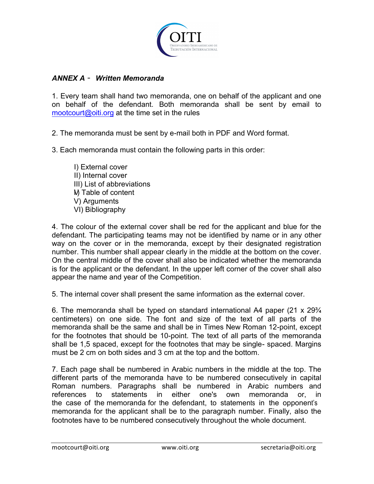

### *ANNEX A* – *Written Memoranda*

1. Every team shall hand two memoranda, one on behalf of the applicant and one on behalf of the defendant. Both memoranda shall be sent by email to mootcourt@oiti.org at the time set in the rules

2. The memoranda must be sent by e-mail both in PDF and Word format.

3. Each memoranda must contain the following parts in this order:

I) External cover II) Internal cover III) List of abbreviations IV) Table of content V) Arguments VI) Bibliography

4. The colour of the external cover shall be red for the applicant and blue for the defendant. The participating teams may not be identified by name or in any other way on the cover or in the memoranda, except by their designated registration number. This number shall appear clearly in the middle at the bottom on the cover. On the central middle of the cover shall also be indicated whether the memoranda is for the applicant or the defendant. In the upper left corner of the cover shall also appear the name and year of the Competition.

5. The internal cover shall present the same information as the external cover.

6. The memoranda shall be typed on standard international A4 paper (21 x 29¾ centimeters) on one side. The font and size of the text of all parts of the memoranda shall be the same and shall be in Times New Roman 12-point, except for the footnotes that should be 10-point. The text of all parts of the memoranda shall be 1,5 spaced, except for the footnotes that may be single- spaced. Margins must be 2 cm on both sides and 3 cm at the top and the bottom.

7. Each page shall be numbered in Arabic numbers in the middle at the top. The different parts of the memoranda have to be numbered consecutively in capital Roman numbers. Paragraphs shall be numbered in Arabic numbers and references to statements in either one's own memoranda or, in the case of the memoranda for the defendant, to statements in the opponent's memoranda for the applicant shall be to the paragraph number. Finally, also the footnotes have to be numbered consecutively throughout the whole document.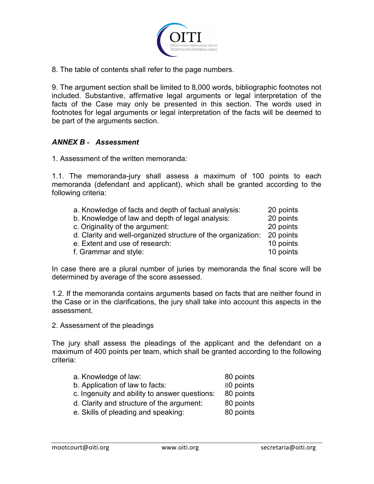

8. The table of contents shall refer to the page numbers.

9. The argument section shall be limited to 8,000 words, bibliographic footnotes not included. Substantive, affirmative legal arguments or legal interpretation of the facts of the Case may only be presented in this section. The words used in footnotes for legal arguments or legal interpretation of the facts will be deemed to be part of the arguments section.

### *ANNEX B* **-** *Assessment*

1. Assessment of the written memoranda:

1.1. The memoranda-jury shall assess a maximum of 100 points to each memoranda (defendant and applicant), which shall be granted according to the following criteria:

| a. Knowledge of facts and depth of factual analysis:         | 20 points |
|--------------------------------------------------------------|-----------|
| b. Knowledge of law and depth of legal analysis:             | 20 points |
| c. Originality of the argument:                              | 20 points |
| d. Clarity and well-organized structure of the organization: | 20 points |
| e. Extent and use of research:                               | 10 points |
| f. Grammar and style:                                        | 10 points |

In case there are a plural number of juries by memoranda the final score will be determined by average of the score assessed.

1.2. If the memoranda contains arguments based on facts that are neither found in the Case or in the clarifications, the jury shall take into account this aspects in the assessment.

2. Assessment of the pleadings

The jury shall assess the pleadings of the applicant and the defendant on a maximum of 400 points per team, which shall be granted according to the following criteria:

| a. Knowledge of law:            | 80 points |
|---------------------------------|-----------|
| b. Application of law to facts: | 80 points |

- c. Ingenuity and ability to answer questions: 80 points
- d. Clarity and structure of the argument: 80 points
- e. Skills of pleading and speaking: 80 points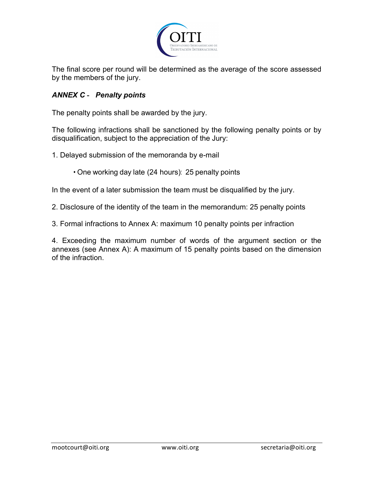

The final score per round will be determined as the average of the score assessed by the members of the jury.

### *ANNEX C* **-** *Penalty points*

The penalty points shall be awarded by the jury.

The following infractions shall be sanctioned by the following penalty points or by disqualification, subject to the appreciation of the Jury:

- 1. Delayed submission of the memoranda by e-mail
	- One working day late (24 hours): 25 penalty points

In the event of a later submission the team must be disqualified by the jury.

- 2. Disclosure of the identity of the team in the memorandum: 25 penalty points
- 3. Formal infractions to Annex A: maximum 10 penalty points per infraction

4. Exceeding the maximum number of words of the argument section or the annexes (see Annex A): A maximum of 15 penalty points based on the dimension of the infraction.